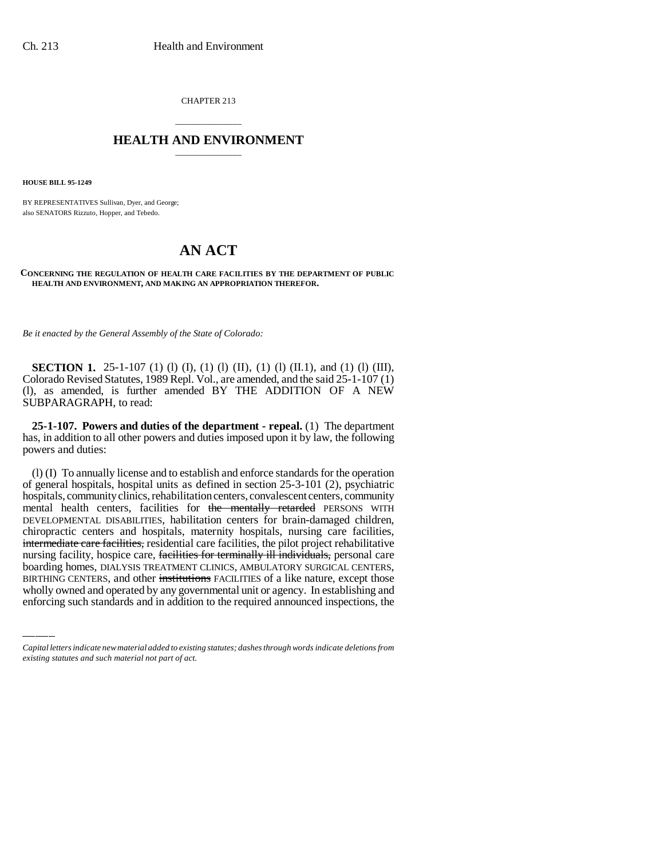CHAPTER 213

## \_\_\_\_\_\_\_\_\_\_\_\_\_\_\_ **HEALTH AND ENVIRONMENT** \_\_\_\_\_\_\_\_\_\_\_\_\_\_\_

**HOUSE BILL 95-1249**

BY REPRESENTATIVES Sullivan, Dyer, and George; also SENATORS Rizzuto, Hopper, and Tebedo.

## **AN ACT**

**CONCERNING THE REGULATION OF HEALTH CARE FACILITIES BY THE DEPARTMENT OF PUBLIC HEALTH AND ENVIRONMENT, AND MAKING AN APPROPRIATION THEREFOR.**

*Be it enacted by the General Assembly of the State of Colorado:*

**SECTION 1.** 25-1-107 (1) (1) (I), (1) (I), (1) (I) (II.1), and (1) (1) (III), Colorado Revised Statutes, 1989 Repl. Vol., are amended, and the said 25-1-107 (1) (l), as amended, is further amended BY THE ADDITION OF A NEW SUBPARAGRAPH, to read:

**25-1-107. Powers and duties of the department - repeal.** (1) The department has, in addition to all other powers and duties imposed upon it by law, the following powers and duties:

nursing facility, hospice care, <del>facilities for terminally ill individuals,</del> personal care (l) (I) To annually license and to establish and enforce standards for the operation of general hospitals, hospital units as defined in section 25-3-101 (2), psychiatric hospitals, community clinics, rehabilitation centers, convalescent centers, community mental health centers, facilities for the mentally retarded PERSONS WITH DEVELOPMENTAL DISABILITIES, habilitation centers for brain-damaged children, chiropractic centers and hospitals, maternity hospitals, nursing care facilities, intermediate care facilities, residential care facilities, the pilot project rehabilitative boarding homes, DIALYSIS TREATMENT CLINICS, AMBULATORY SURGICAL CENTERS, BIRTHING CENTERS, and other institutions FACILITIES of a like nature, except those wholly owned and operated by any governmental unit or agency. In establishing and enforcing such standards and in addition to the required announced inspections, the

*Capital letters indicate new material added to existing statutes; dashes through words indicate deletions from existing statutes and such material not part of act.*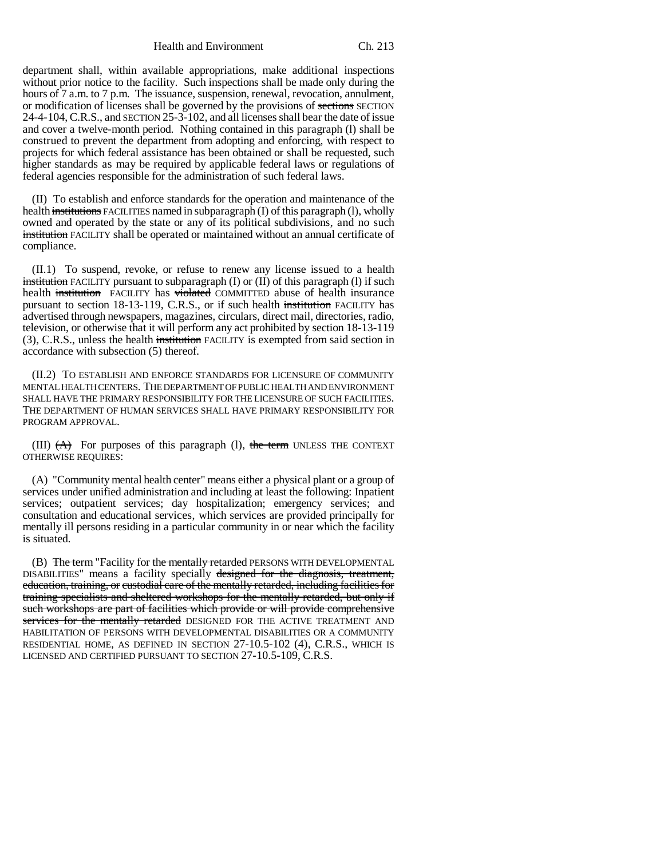Health and Environment Ch. 213

department shall, within available appropriations, make additional inspections without prior notice to the facility. Such inspections shall be made only during the hours of 7 a.m. to 7 p.m. The issuance, suspension, renewal, revocation, annulment, or modification of licenses shall be governed by the provisions of sections SECTION 24-4-104, C.R.S., and SECTION 25-3-102, and all licenses shall bear the date of issue and cover a twelve-month period. Nothing contained in this paragraph (l) shall be construed to prevent the department from adopting and enforcing, with respect to projects for which federal assistance has been obtained or shall be requested, such higher standards as may be required by applicable federal laws or regulations of federal agencies responsible for the administration of such federal laws.

(II) To establish and enforce standards for the operation and maintenance of the health institutions FACILITIES named in subparagraph (I) of this paragraph (I), wholly owned and operated by the state or any of its political subdivisions, and no such institution FACILITY shall be operated or maintained without an annual certificate of compliance.

(II.1) To suspend, revoke, or refuse to renew any license issued to a health institution FACILITY pursuant to subparagraph  $(I)$  or  $(II)$  of this paragraph  $(I)$  if such health institution FACILITY has violated COMMITTED abuse of health insurance pursuant to section 18-13-119, C.R.S., or if such health institution FACILITY has advertised through newspapers, magazines, circulars, direct mail, directories, radio, television, or otherwise that it will perform any act prohibited by section 18-13-119 (3), C.R.S., unless the health institution FACILITY is exempted from said section in accordance with subsection (5) thereof.

(II.2) TO ESTABLISH AND ENFORCE STANDARDS FOR LICENSURE OF COMMUNITY MENTAL HEALTH CENTERS. THE DEPARTMENT OF PUBLIC HEALTH AND ENVIRONMENT SHALL HAVE THE PRIMARY RESPONSIBILITY FOR THE LICENSURE OF SUCH FACILITIES. THE DEPARTMENT OF HUMAN SERVICES SHALL HAVE PRIMARY RESPONSIBILITY FOR PROGRAM APPROVAL.

(III)  $(A)$  For purposes of this paragraph (1), the term UNLESS THE CONTEXT OTHERWISE REQUIRES:

(A) "Community mental health center" means either a physical plant or a group of services under unified administration and including at least the following: Inpatient services; outpatient services; day hospitalization; emergency services; and consultation and educational services, which services are provided principally for mentally ill persons residing in a particular community in or near which the facility is situated.

(B) The term "Facility for the mentally retarded PERSONS WITH DEVELOPMENTAL DISABILITIES" means a facility specially designed for the diagnosis, treatment, education, training, or custodial care of the mentally retarded, including facilities for training specialists and sheltered workshops for the mentally retarded, but only if such workshops are part of facilities which provide or will provide comprehensive services for the mentally retarded DESIGNED FOR THE ACTIVE TREATMENT AND HABILITATION OF PERSONS WITH DEVELOPMENTAL DISABILITIES OR A COMMUNITY RESIDENTIAL HOME, AS DEFINED IN SECTION 27-10.5-102 (4), C.R.S., WHICH IS LICENSED AND CERTIFIED PURSUANT TO SECTION 27-10.5-109, C.R.S.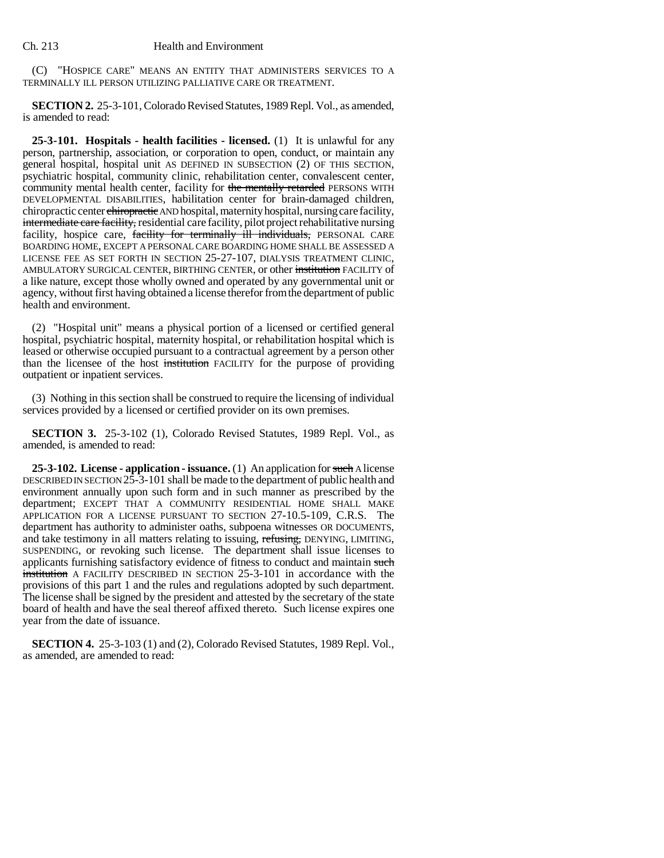(C) "HOSPICE CARE" MEANS AN ENTITY THAT ADMINISTERS SERVICES TO A TERMINALLY ILL PERSON UTILIZING PALLIATIVE CARE OR TREATMENT.

**SECTION 2.** 25-3-101, Colorado Revised Statutes, 1989 Repl. Vol., as amended, is amended to read:

**25-3-101. Hospitals - health facilities - licensed.** (1) It is unlawful for any person, partnership, association, or corporation to open, conduct, or maintain any general hospital, hospital unit AS DEFINED IN SUBSECTION (2) OF THIS SECTION, psychiatric hospital, community clinic, rehabilitation center, convalescent center, community mental health center, facility for the mentally retarded PERSONS WITH DEVELOPMENTAL DISABILITIES, habilitation center for brain-damaged children, chiropractic center chiropractic AND hospital, maternity hospital, nursing care facility, intermediate care facility, residential care facility, pilot project rehabilitative nursing facility, hospice care, facility for terminally ill individuals, PERSONAL CARE BOARDING HOME, EXCEPT A PERSONAL CARE BOARDING HOME SHALL BE ASSESSED A LICENSE FEE AS SET FORTH IN SECTION 25-27-107, DIALYSIS TREATMENT CLINIC, AMBULATORY SURGICAL CENTER, BIRTHING CENTER, or other institution FACILITY of a like nature, except those wholly owned and operated by any governmental unit or agency, without first having obtained a license therefor from the department of public health and environment.

(2) "Hospital unit" means a physical portion of a licensed or certified general hospital, psychiatric hospital, maternity hospital, or rehabilitation hospital which is leased or otherwise occupied pursuant to a contractual agreement by a person other than the licensee of the host institution FACILITY for the purpose of providing outpatient or inpatient services.

(3) Nothing in this section shall be construed to require the licensing of individual services provided by a licensed or certified provider on its own premises.

**SECTION 3.** 25-3-102 (1), Colorado Revised Statutes, 1989 Repl. Vol., as amended, is amended to read:

**25-3-102. License - application - issuance.** (1) An application for such A license DESCRIBED IN SECTION 25-3-101 shall be made to the department of public health and environment annually upon such form and in such manner as prescribed by the department; EXCEPT THAT A COMMUNITY RESIDENTIAL HOME SHALL MAKE APPLICATION FOR A LICENSE PURSUANT TO SECTION 27-10.5-109, C.R.S. The department has authority to administer oaths, subpoena witnesses OR DOCUMENTS, and take testimony in all matters relating to issuing, refusing, DENYING, LIMITING, SUSPENDING, or revoking such license. The department shall issue licenses to applicants furnishing satisfactory evidence of fitness to conduct and maintain such institution A FACILITY DESCRIBED IN SECTION 25-3-101 in accordance with the provisions of this part 1 and the rules and regulations adopted by such department. The license shall be signed by the president and attested by the secretary of the state board of health and have the seal thereof affixed thereto. Such license expires one year from the date of issuance.

**SECTION 4.** 25-3-103 (1) and (2), Colorado Revised Statutes, 1989 Repl. Vol., as amended, are amended to read: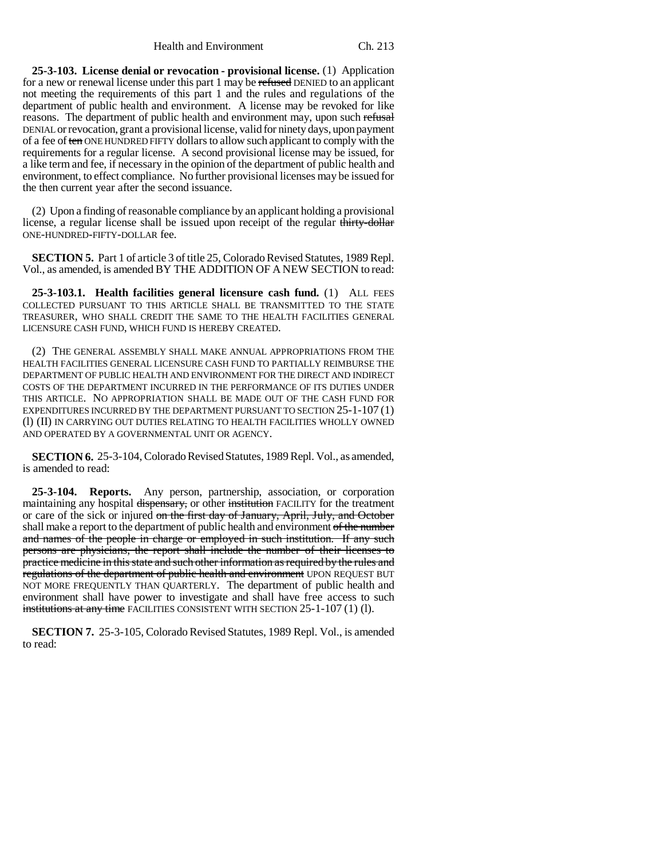**25-3-103. License denial or revocation - provisional license.** (1) Application for a new or renewal license under this part 1 may be refused DENIED to an applicant not meeting the requirements of this part 1 and the rules and regulations of the department of public health and environment. A license may be revoked for like reasons. The department of public health and environment may, upon such refusal DENIAL or revocation, grant a provisional license, valid for ninety days, upon payment of a fee of ten ONE HUNDRED FIFTY dollars to allow such applicant to comply with the requirements for a regular license. A second provisional license may be issued, for a like term and fee, if necessary in the opinion of the department of public health and environment, to effect compliance. No further provisional licenses may be issued for the then current year after the second issuance.

(2) Upon a finding of reasonable compliance by an applicant holding a provisional license, a regular license shall be issued upon receipt of the regular thirty-dollar ONE-HUNDRED-FIFTY-DOLLAR fee.

**SECTION 5.** Part 1 of article 3 of title 25, Colorado Revised Statutes, 1989 Repl. Vol., as amended, is amended BY THE ADDITION OF A NEW SECTION to read:

**25-3-103.1. Health facilities general licensure cash fund.** (1) ALL FEES COLLECTED PURSUANT TO THIS ARTICLE SHALL BE TRANSMITTED TO THE STATE TREASURER, WHO SHALL CREDIT THE SAME TO THE HEALTH FACILITIES GENERAL LICENSURE CASH FUND, WHICH FUND IS HEREBY CREATED.

(2) THE GENERAL ASSEMBLY SHALL MAKE ANNUAL APPROPRIATIONS FROM THE HEALTH FACILITIES GENERAL LICENSURE CASH FUND TO PARTIALLY REIMBURSE THE DEPARTMENT OF PUBLIC HEALTH AND ENVIRONMENT FOR THE DIRECT AND INDIRECT COSTS OF THE DEPARTMENT INCURRED IN THE PERFORMANCE OF ITS DUTIES UNDER THIS ARTICLE. NO APPROPRIATION SHALL BE MADE OUT OF THE CASH FUND FOR EXPENDITURES INCURRED BY THE DEPARTMENT PURSUANT TO SECTION 25-1-107 (1) (l) (II) IN CARRYING OUT DUTIES RELATING TO HEALTH FACILITIES WHOLLY OWNED AND OPERATED BY A GOVERNMENTAL UNIT OR AGENCY.

**SECTION 6.** 25-3-104, Colorado Revised Statutes, 1989 Repl. Vol., as amended, is amended to read:

**25-3-104. Reports.** Any person, partnership, association, or corporation maintaining any hospital dispensary, or other institution FACILITY for the treatment or care of the sick or injured on the first day of January, April, July, and October shall make a report to the department of public health and environment of the number and names of the people in charge or employed in such institution. If any such persons are physicians, the report shall include the number of their licenses to practice medicine in this state and such other information as required by the rules and regulations of the department of public health and environment UPON REQUEST BUT NOT MORE FREQUENTLY THAN QUARTERLY. The department of public health and environment shall have power to investigate and shall have free access to such institutions at any time FACILITIES CONSISTENT WITH SECTION 25-1-107 (1) (1).

**SECTION 7.** 25-3-105, Colorado Revised Statutes, 1989 Repl. Vol., is amended to read: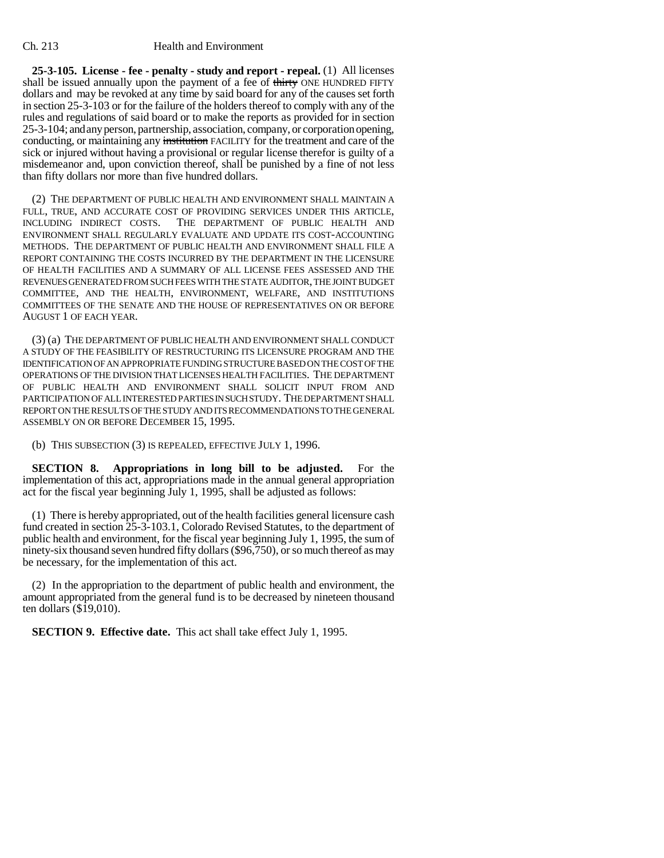**25-3-105. License - fee - penalty - study and report - repeal.** (1) All licenses shall be issued annually upon the payment of a fee of thirty ONE HUNDRED FIFTY dollars and may be revoked at any time by said board for any of the causes set forth in section 25-3-103 or for the failure of the holders thereof to comply with any of the rules and regulations of said board or to make the reports as provided for in section 25-3-104; and any person, partnership, association, company, or corporation opening, conducting, or maintaining any institution FACILITY for the treatment and care of the sick or injured without having a provisional or regular license therefor is guilty of a misdemeanor and, upon conviction thereof, shall be punished by a fine of not less than fifty dollars nor more than five hundred dollars.

(2) THE DEPARTMENT OF PUBLIC HEALTH AND ENVIRONMENT SHALL MAINTAIN A FULL, TRUE, AND ACCURATE COST OF PROVIDING SERVICES UNDER THIS ARTICLE, INCLUDING INDIRECT COSTS. THE DEPARTMENT OF PUBLIC HEALTH AND ENVIRONMENT SHALL REGULARLY EVALUATE AND UPDATE ITS COST-ACCOUNTING METHODS. THE DEPARTMENT OF PUBLIC HEALTH AND ENVIRONMENT SHALL FILE A REPORT CONTAINING THE COSTS INCURRED BY THE DEPARTMENT IN THE LICENSURE OF HEALTH FACILITIES AND A SUMMARY OF ALL LICENSE FEES ASSESSED AND THE REVENUES GENERATED FROM SUCH FEES WITH THE STATE AUDITOR, THE JOINT BUDGET COMMITTEE, AND THE HEALTH, ENVIRONMENT, WELFARE, AND INSTITUTIONS COMMITTEES OF THE SENATE AND THE HOUSE OF REPRESENTATIVES ON OR BEFORE AUGUST 1 OF EACH YEAR.

(3) (a) THE DEPARTMENT OF PUBLIC HEALTH AND ENVIRONMENT SHALL CONDUCT A STUDY OF THE FEASIBILITY OF RESTRUCTURING ITS LICENSURE PROGRAM AND THE IDENTIFICATION OF AN APPROPRIATE FUNDING STRUCTURE BASED ON THE COST OF THE OPERATIONS OF THE DIVISION THAT LICENSES HEALTH FACILITIES. THE DEPARTMENT OF PUBLIC HEALTH AND ENVIRONMENT SHALL SOLICIT INPUT FROM AND PARTICIPATION OF ALL INTERESTED PARTIES IN SUCH STUDY. THE DEPARTMENT SHALL REPORT ON THE RESULTS OF THE STUDY AND ITS RECOMMENDATIONS TO THE GENERAL ASSEMBLY ON OR BEFORE DECEMBER 15, 1995.

(b) THIS SUBSECTION (3) IS REPEALED, EFFECTIVE JULY 1, 1996.

**SECTION 8. Appropriations in long bill to be adjusted.** For the implementation of this act, appropriations made in the annual general appropriation act for the fiscal year beginning July 1, 1995, shall be adjusted as follows:

(1) There is hereby appropriated, out of the health facilities general licensure cash fund created in section 25-3-103.1, Colorado Revised Statutes, to the department of public health and environment, for the fiscal year beginning July 1, 1995, the sum of ninety-six thousand seven hundred fifty dollars (\$96,750), or so much thereof as may be necessary, for the implementation of this act.

(2) In the appropriation to the department of public health and environment, the amount appropriated from the general fund is to be decreased by nineteen thousand ten dollars (\$19,010).

**SECTION 9. Effective date.** This act shall take effect July 1, 1995.